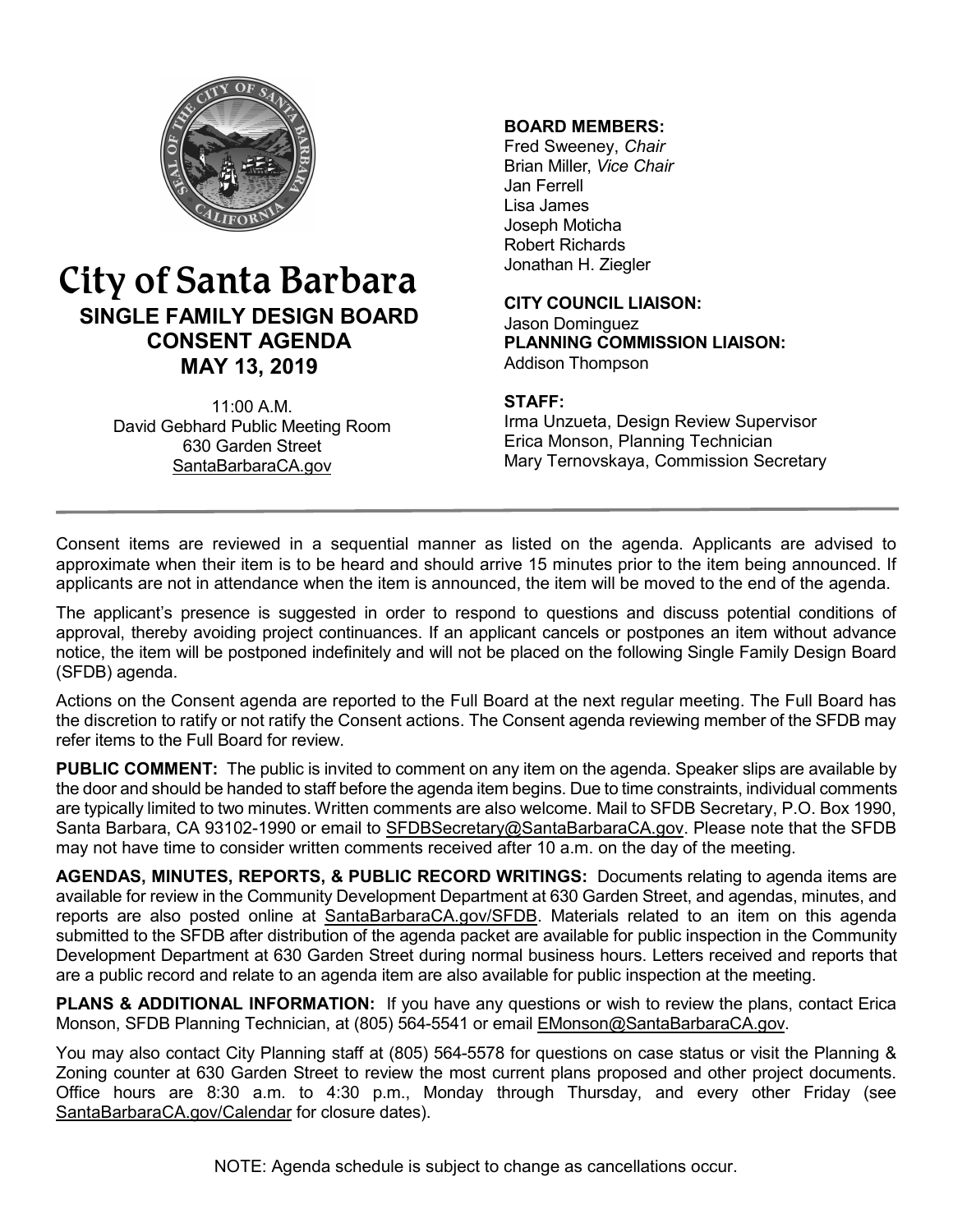

# City of Santa Barbara **SINGLE FAMILY DESIGN BOARD CONSENT AGENDA MAY 13, 2019**

11:00 A.M. David Gebhard Public Meeting Room 630 Garden Street [SantaBarbaraCA.gov](http://www.santabarbaraca.gov/)

### **BOARD MEMBERS:**

Fred Sweeney, *Chair* Brian Miller, *Vice Chair* Jan Ferrell Lisa James Joseph Moticha Robert Richards Jonathan H. Ziegler

**CITY COUNCIL LIAISON:** Jason Dominguez **PLANNING COMMISSION LIAISON:** Addison Thompson

#### **STAFF:**

Irma Unzueta, Design Review Supervisor Erica Monson, Planning Technician Mary Ternovskaya, Commission Secretary

Consent items are reviewed in a sequential manner as listed on the agenda. Applicants are advised to approximate when their item is to be heard and should arrive 15 minutes prior to the item being announced. If applicants are not in attendance when the item is announced, the item will be moved to the end of the agenda.

The applicant's presence is suggested in order to respond to questions and discuss potential conditions of approval, thereby avoiding project continuances. If an applicant cancels or postpones an item without advance notice, the item will be postponed indefinitely and will not be placed on the following Single Family Design Board (SFDB) agenda.

Actions on the Consent agenda are reported to the Full Board at the next regular meeting. The Full Board has the discretion to ratify or not ratify the Consent actions. The Consent agenda reviewing member of the SFDB may refer items to the Full Board for review.

**PUBLIC COMMENT:** The public is invited to comment on any item on the agenda. Speaker slips are available by the door and should be handed to staff before the agenda item begins. Due to time constraints, individual comments are typically limited to two minutes. Written comments are also welcome. Mail to SFDB Secretary, P.O. Box 1990, Santa Barbara, CA 93102-1990 or email to [SFDBSecretary@SantaBarbaraCA.gov](mailto:SFDBSecretary@SantaBarbaraCA.gov). Please note that the SFDB may not have time to consider written comments received after 10 a.m. on the day of the meeting.

**AGENDAS, MINUTES, REPORTS, & PUBLIC RECORD WRITINGS:** Documents relating to agenda items are available for review in the Community Development Department at 630 Garden Street, and agendas, minutes, and reports are also posted online at [SantaBarbaraCA.gov/SFDB](http://www.santabarbaraca.gov/gov/brdcomm/nz/sfdb/agendas.asp). Materials related to an item on this agenda submitted to the SFDB after distribution of the agenda packet are available for public inspection in the Community Development Department at 630 Garden Street during normal business hours. Letters received and reports that are a public record and relate to an agenda item are also available for public inspection at the meeting.

**PLANS & ADDITIONAL INFORMATION:** If you have any questions or wish to review the plans, contact Erica Monson, SFDB Planning Technician, at (805) 564-5541 or email [EMonson@SantaBarbaraCA.gov](mailto:EMonson@SantaBarbaraCA.gov).

You may also contact City Planning staff at (805) 564-5578 for questions on case status or visit the Planning & Zoning counter at 630 Garden Street to review the most current plans proposed and other project documents. Office hours are 8:30 a.m. to 4:30 p.m., Monday through Thursday, and every other Friday (see [SantaBarbaraCA.gov/Calendar](http://www.santabarbaraca.gov/cals/default.asp) for closure dates).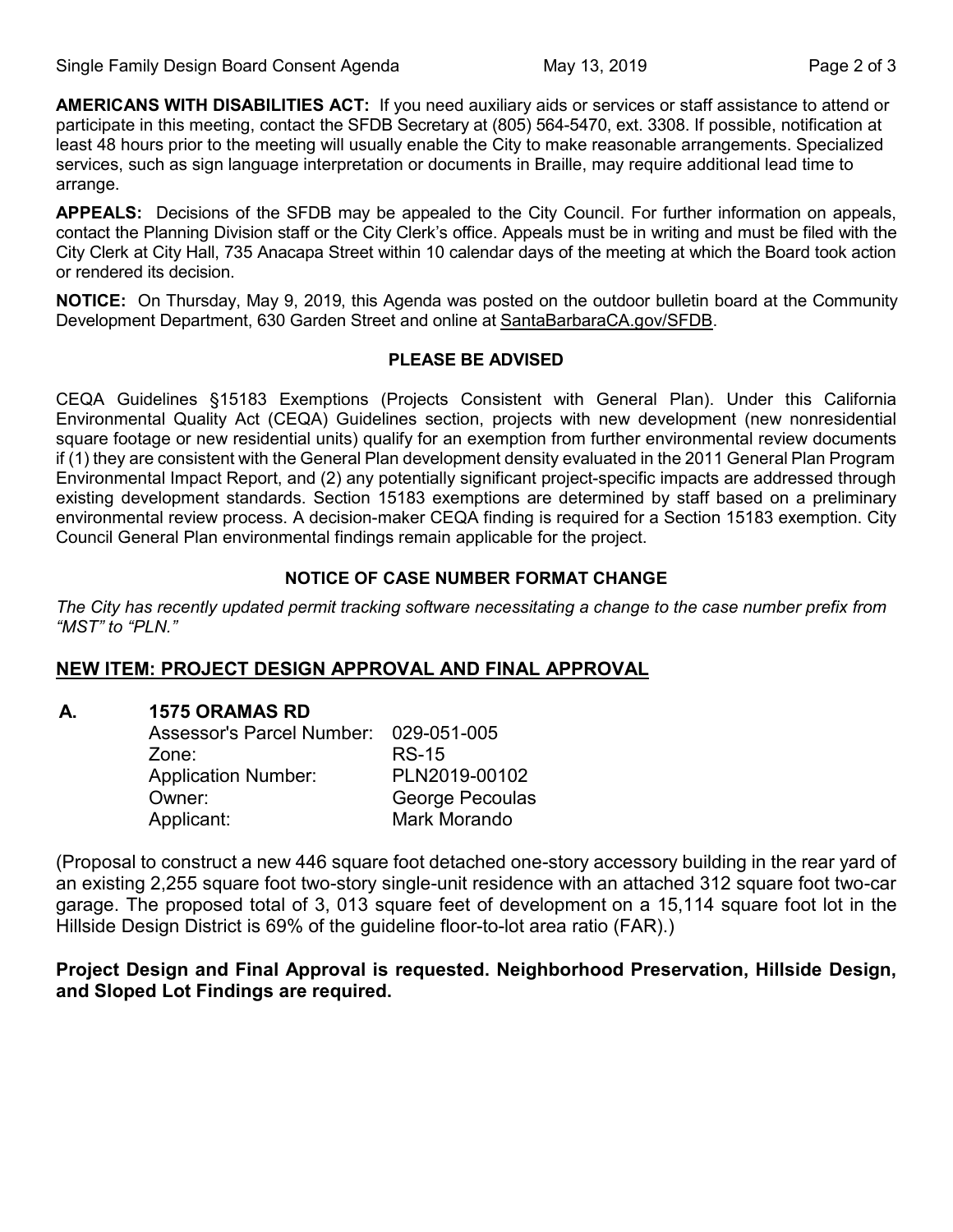**AMERICANS WITH DISABILITIES ACT:** If you need auxiliary aids or services or staff assistance to attend or participate in this meeting, contact the SFDB Secretary at (805) 564-5470, ext. 3308. If possible, notification at least 48 hours prior to the meeting will usually enable the City to make reasonable arrangements. Specialized services, such as sign language interpretation or documents in Braille, may require additional lead time to arrange.

**APPEALS:** Decisions of the SFDB may be appealed to the City Council. For further information on appeals, contact the Planning Division staff or the City Clerk's office. Appeals must be in writing and must be filed with the City Clerk at City Hall, 735 Anacapa Street within 10 calendar days of the meeting at which the Board took action or rendered its decision.

**NOTICE:** On Thursday, May 9, 2019, this Agenda was posted on the outdoor bulletin board at the Community Development Department, 630 Garden Street and online at [SantaBarbaraCA.gov/SFDB](http://www.santabarbaraca.gov/gov/brdcomm/nz/sfdb/agendas.asp).

#### **PLEASE BE ADVISED**

CEQA Guidelines §15183 Exemptions (Projects Consistent with General Plan). Under this California Environmental Quality Act (CEQA) Guidelines section, projects with new development (new nonresidential square footage or new residential units) qualify for an exemption from further environmental review documents if (1) they are consistent with the General Plan development density evaluated in the 2011 General Plan Program Environmental Impact Report, and (2) any potentially significant project-specific impacts are addressed through existing development standards. Section 15183 exemptions are determined by staff based on a preliminary environmental review process. A decision-maker CEQA finding is required for a Section 15183 exemption. City Council General Plan environmental findings remain applicable for the project.

### **NOTICE OF CASE NUMBER FORMAT CHANGE**

*The City has recently updated permit tracking software necessitating a change to the case number prefix from "MST" to "PLN."*

# **NEW ITEM: PROJECT DESIGN APPROVAL AND FINAL APPROVAL**

### **A. 1575 ORAMAS RD**

| <b>Assessor's Parcel Number:</b> | 029-051-005     |
|----------------------------------|-----------------|
| Zone:                            | <b>RS-15</b>    |
| <b>Application Number:</b>       | PLN2019-00102   |
| Owner:                           | George Pecoulas |
| Applicant:                       | Mark Morando    |

(Proposal to construct a new 446 square foot detached one-story accessory building in the rear yard of an existing 2,255 square foot two-story single-unit residence with an attached 312 square foot two-car garage. The proposed total of 3, 013 square feet of development on a 15,114 square foot lot in the Hillside Design District is 69% of the guideline floor-to-lot area ratio (FAR).)

## **Project Design and Final Approval is requested. Neighborhood Preservation, Hillside Design, and Sloped Lot Findings are required.**